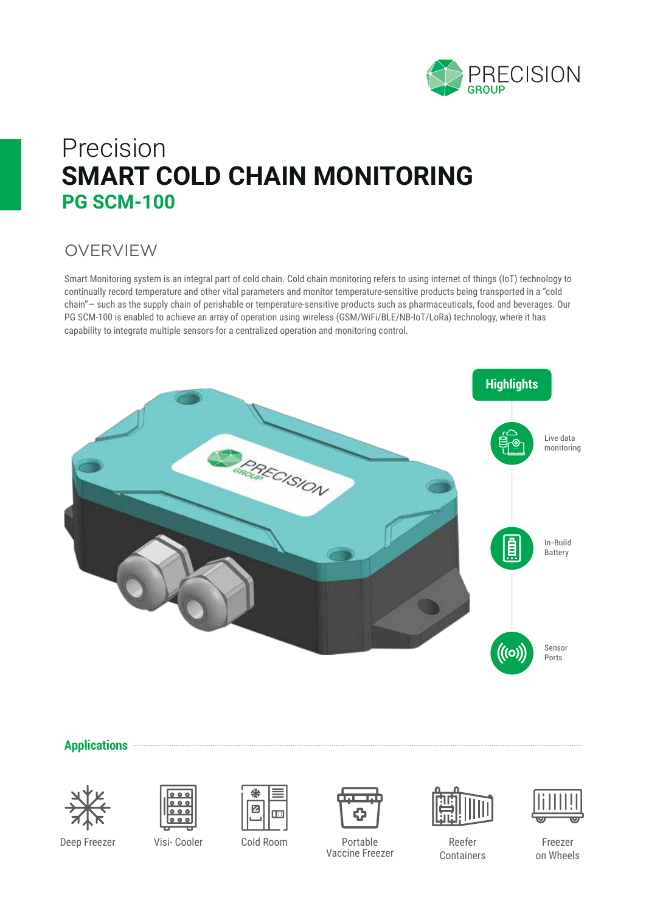

## Precision **SMART COLD CHAIN MONITORING PG SCM-100**

### **OVERVIEW**

Smart Monitoring system is an integral part of cold chain. Cold chain monitoring refers to using internet of things (IoT) technology to continually record temperature and other vital parameters and monitor temperature-sensitive products being transported in a "cold chain"— such as the supply chain of perishable or temperature-sensitive products such as pharmaceuticals, food and beverages. Our PG SCM-100 is enabled to achieve an array of operation using wireless (GSM/WiFi/BLE/NB-IoT/LoRa) technology, where it has capability to integrate multiple sensors for a centralized operation and monitoring control.



#### **Applications**









Deep Freezer Visi- Cooler Cold Room Portable Vaccine Freezer







Freezer on Wheels